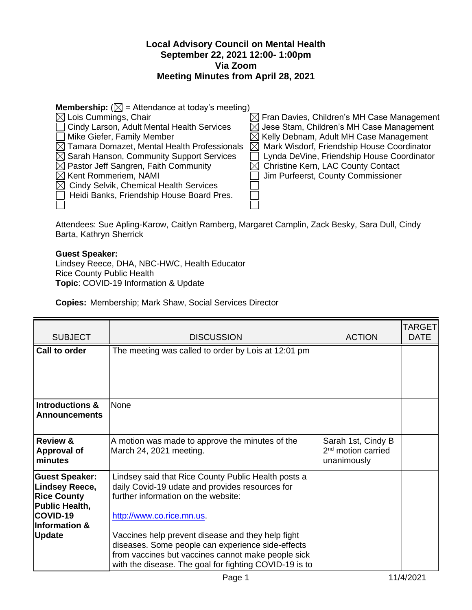## **Local Advisory Council on Mental Health September 22, 2021 12:00- 1:00pm Via Zoom Meeting Minutes from April 28, 2021**

| <b>Membership:</b> ( $\boxtimes$ = Attendance at today's meeting) |                                                           |  |  |  |  |
|-------------------------------------------------------------------|-----------------------------------------------------------|--|--|--|--|
| $\boxtimes$ Lois Cummings, Chair                                  | $\boxtimes$ Fran Davies, Children's MH Case Management    |  |  |  |  |
| Cindy Larson, Adult Mental Health Services                        | $\boxtimes$ Jese Stam, Children's MH Case Management      |  |  |  |  |
| Mike Giefer, Family Member                                        | $\boxtimes$ Kelly Debnam, Adult MH Case Management        |  |  |  |  |
| $\boxtimes$ Tamara Domazet, Mental Health Professionals           | Mark Wisdorf, Friendship House Coordinator<br>$\boxtimes$ |  |  |  |  |
| $\boxtimes$ Sarah Hanson, Community Support Services              | Lynda DeVine, Friendship House Coordinator                |  |  |  |  |
| $\boxtimes$ Pastor Jeff Sangren, Faith Community                  | $\boxtimes$ Christine Kern, LAC County Contact            |  |  |  |  |
| $\boxtimes$ Kent Rommeriem, NAMI                                  | Jim Purfeerst, County Commissioner                        |  |  |  |  |
| $\boxtimes$ Cindy Selvik, Chemical Health Services                |                                                           |  |  |  |  |
| Heidi Banks, Friendship House Board Pres.                         |                                                           |  |  |  |  |
|                                                                   |                                                           |  |  |  |  |

Attendees: Sue Apling-Karow, Caitlyn Ramberg, Margaret Camplin, Zack Besky, Sara Dull, Cindy Barta, Kathryn Sherrick

## **Guest Speaker:**

Lindsey Reece, DHA, NBC-HWC, Health Educator Rice County Public Health **Topic**: COVID-19 Information & Update

**Copies:** Membership; Mark Shaw, Social Services Director

| <b>SUBJECT</b>                                                                                                                                         | <b>DISCUSSION</b>                                                                                                                                                                                                                                                                                                                                                                                    | <b>ACTION</b>                                                       | TARGET<br><b>DATE</b> |
|--------------------------------------------------------------------------------------------------------------------------------------------------------|------------------------------------------------------------------------------------------------------------------------------------------------------------------------------------------------------------------------------------------------------------------------------------------------------------------------------------------------------------------------------------------------------|---------------------------------------------------------------------|-----------------------|
| <b>Call to order</b>                                                                                                                                   | The meeting was called to order by Lois at 12:01 pm                                                                                                                                                                                                                                                                                                                                                  |                                                                     |                       |
| <b>Introductions &amp;</b><br><b>Announcements</b>                                                                                                     | None                                                                                                                                                                                                                                                                                                                                                                                                 |                                                                     |                       |
| <b>Review &amp;</b><br><b>Approval of</b><br>minutes                                                                                                   | A motion was made to approve the minutes of the<br>March 24, 2021 meeting.                                                                                                                                                                                                                                                                                                                           | Sarah 1st, Cindy B<br>2 <sup>nd</sup> motion carried<br>unanimously |                       |
| <b>Guest Speaker:</b><br><b>Lindsey Reece,</b><br><b>Rice County</b><br><b>Public Health,</b><br>COVID-19<br><b>Information &amp;</b><br><b>Update</b> | Lindsey said that Rice County Public Health posts a<br>daily Covid-19 udate and provides resources for<br>further information on the website:<br>http://www.co.rice.mn.us.<br>Vaccines help prevent disease and they help fight<br>diseases. Some people can experience side-effects<br>from vaccines but vaccines cannot make people sick<br>with the disease. The goal for fighting COVID-19 is to |                                                                     |                       |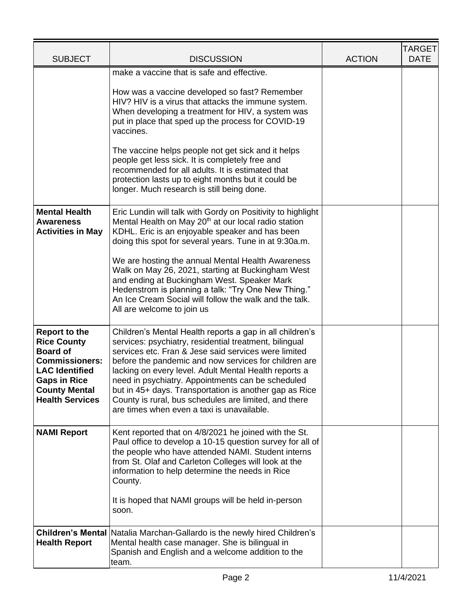| <b>SUBJECT</b>                                                                                                                                                                           | <b>DISCUSSION</b>                                                                                                                                                                                                                                                                                                                                                                                                                                                                                                  | <b>ACTION</b> | <b>TARGET</b><br><b>DATE</b> |
|------------------------------------------------------------------------------------------------------------------------------------------------------------------------------------------|--------------------------------------------------------------------------------------------------------------------------------------------------------------------------------------------------------------------------------------------------------------------------------------------------------------------------------------------------------------------------------------------------------------------------------------------------------------------------------------------------------------------|---------------|------------------------------|
|                                                                                                                                                                                          | make a vaccine that is safe and effective.                                                                                                                                                                                                                                                                                                                                                                                                                                                                         |               |                              |
|                                                                                                                                                                                          | How was a vaccine developed so fast? Remember<br>HIV? HIV is a virus that attacks the immune system.<br>When developing a treatment for HIV, a system was<br>put in place that sped up the process for COVID-19<br>vaccines.                                                                                                                                                                                                                                                                                       |               |                              |
|                                                                                                                                                                                          | The vaccine helps people not get sick and it helps<br>people get less sick. It is completely free and<br>recommended for all adults. It is estimated that<br>protection lasts up to eight months but it could be<br>longer. Much research is still being done.                                                                                                                                                                                                                                                     |               |                              |
| <b>Mental Health</b><br><b>Awareness</b><br><b>Activities in May</b>                                                                                                                     | Eric Lundin will talk with Gordy on Positivity to highlight<br>Mental Health on May 20 <sup>th</sup> at our local radio station<br>KDHL. Eric is an enjoyable speaker and has been<br>doing this spot for several years. Tune in at 9:30a.m.                                                                                                                                                                                                                                                                       |               |                              |
|                                                                                                                                                                                          | We are hosting the annual Mental Health Awareness<br>Walk on May 26, 2021, starting at Buckingham West<br>and ending at Buckingham West. Speaker Mark<br>Hedenstrom is planning a talk: "Try One New Thing."<br>An Ice Cream Social will follow the walk and the talk.<br>All are welcome to join us                                                                                                                                                                                                               |               |                              |
| <b>Report to the</b><br><b>Rice County</b><br><b>Board of</b><br><b>Commissioners:</b><br><b>LAC Identified</b><br><b>Gaps in Rice</b><br><b>County Mental</b><br><b>Health Services</b> | Children's Mental Health reports a gap in all children's<br>services: psychiatry, residential treatment, bilingual<br>services etc. Fran & Jese said services were limited<br>before the pandemic and now services for children are<br>lacking on every level. Adult Mental Health reports a<br>need in psychiatry. Appointments can be scheduled<br>but in 45+ days. Transportation is another gap as Rice<br>County is rural, bus schedules are limited, and there<br>are times when even a taxi is unavailable. |               |                              |
| <b>NAMI Report</b>                                                                                                                                                                       | Kent reported that on 4/8/2021 he joined with the St.<br>Paul office to develop a 10-15 question survey for all of<br>the people who have attended NAMI. Student interns<br>from St. Olaf and Carleton Colleges will look at the<br>information to help determine the needs in Rice<br>County.                                                                                                                                                                                                                     |               |                              |
|                                                                                                                                                                                          | It is hoped that NAMI groups will be held in-person<br>soon.                                                                                                                                                                                                                                                                                                                                                                                                                                                       |               |                              |
| <b>Health Report</b>                                                                                                                                                                     | Children's Mental   Natalia Marchan-Gallardo is the newly hired Children's<br>Mental health case manager. She is bilingual in<br>Spanish and English and a welcome addition to the<br>team.                                                                                                                                                                                                                                                                                                                        |               |                              |